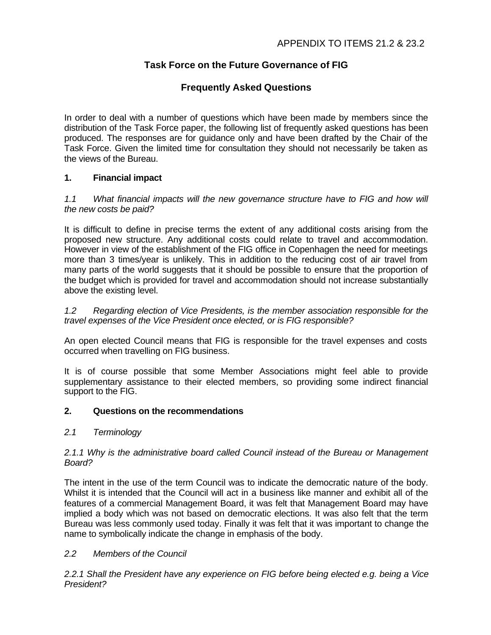# **Task Force on the Future Governance of FIG**

## **Frequently Asked Questions**

In order to deal with a number of questions which have been made by members since the distribution of the Task Force paper, the following list of frequently asked questions has been produced. The responses are for guidance only and have been drafted by the Chair of the Task Force. Given the limited time for consultation they should not necessarily be taken as the views of the Bureau.

## **1. Financial impact**

*1.1 What financial impacts will the new governance structure have to FIG and how will the new costs be paid?*

It is difficult to define in precise terms the extent of any additional costs arising from the proposed new structure. Any additional costs could relate to travel and accommodation. However in view of the establishment of the FIG office in Copenhagen the need for meetings more than 3 times/year is unlikely. This in addition to the reducing cost of air travel from many parts of the world suggests that it should be possible to ensure that the proportion of the budget which is provided for travel and accommodation should not increase substantially above the existing level.

*1.2 Regarding election of Vice Presidents, is the member association responsible for the travel expenses of the Vice President once elected, or is FIG responsible?*

An open elected Council means that FIG is responsible for the travel expenses and costs occurred when travelling on FIG business.

It is of course possible that some Member Associations might feel able to provide supplementary assistance to their elected members, so providing some indirect financial support to the FIG.

## **2. Questions on the recommendations**

*2.1 Terminology*

#### *2.1.1 Why is the administrative board called Council instead of the Bureau or Management Board?*

The intent in the use of the term Council was to indicate the democratic nature of the body. Whilst it is intended that the Council will act in a business like manner and exhibit all of the features of a commercial Management Board, it was felt that Management Board may have implied a body which was not based on democratic elections. It was also felt that the term Bureau was less commonly used today. Finally it was felt that it was important to change the name to symbolically indicate the change in emphasis of the body.

## *2.2 Members of the Council*

*2.2.1 Shall the President have any experience on FIG before being elected e.g. being a Vice President?*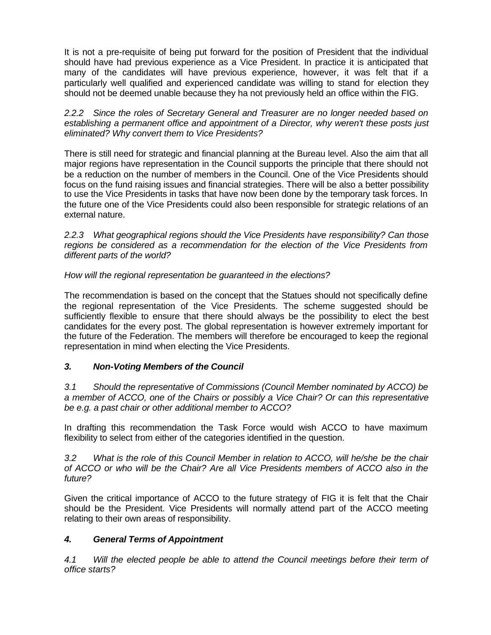It is not a pre-requisite of being put forward for the position of President that the individual should have had previous experience as a Vice President. In practice it is anticipated that many of the candidates will have previous experience, however, it was felt that if a particularly well qualified and experienced candidate was willing to stand for election they should not be deemed unable because they ha not previously held an office within the FIG.

*2.2.2 Since the roles of Secretary General and Treasurer are no longer needed based on establishing a permanent office and appointment of a Director, why weren't these posts just eliminated? Why convert them to Vice Presidents?*

There is still need for strategic and financial planning at the Bureau level. Also the aim that all major regions have representation in the Council supports the principle that there should not be a reduction on the number of members in the Council. One of the Vice Presidents should focus on the fund raising issues and financial strategies. There will be also a better possibility to use the Vice Presidents in tasks that have now been done by the temporary task forces. In the future one of the Vice Presidents could also been responsible for strategic relations of an external nature.

*2.2.3 What geographical regions should the Vice Presidents have responsibility? Can those regions be considered as a recommendation for the election of the Vice Presidents from different parts of the world?*

*How will the regional representation be guaranteed in the elections?*

The recommendation is based on the concept that the Statues should not specifically define the regional representation of the Vice Presidents. The scheme suggested should be sufficiently flexible to ensure that there should always be the possibility to elect the best candidates for the every post. The global representation is however extremely important for the future of the Federation. The members will therefore be encouraged to keep the regional representation in mind when electing the Vice Presidents.

#### *3. Non-Voting Members of the Council*

*3.1 Should the representative of Commissions (Council Member nominated by ACCO) be a member of ACCO, one of the Chairs or possibly a Vice Chair? Or can this representative be e.g. a past chair or other additional member to ACCO?*

In drafting this recommendation the Task Force would wish ACCO to have maximum flexibility to select from either of the categories identified in the question.

*3.2 What is the role of this Council Member in relation to ACCO, will he/she be the chair of ACCO or who will be the Chair? Are all Vice Presidents members of ACCO also in the future?*

Given the critical importance of ACCO to the future strategy of FIG it is felt that the Chair should be the President. Vice Presidents will normally attend part of the ACCO meeting relating to their own areas of responsibility.

## *4. General Terms of Appointment*

*4.1 Will the elected people be able to attend the Council meetings before their term of office starts?*